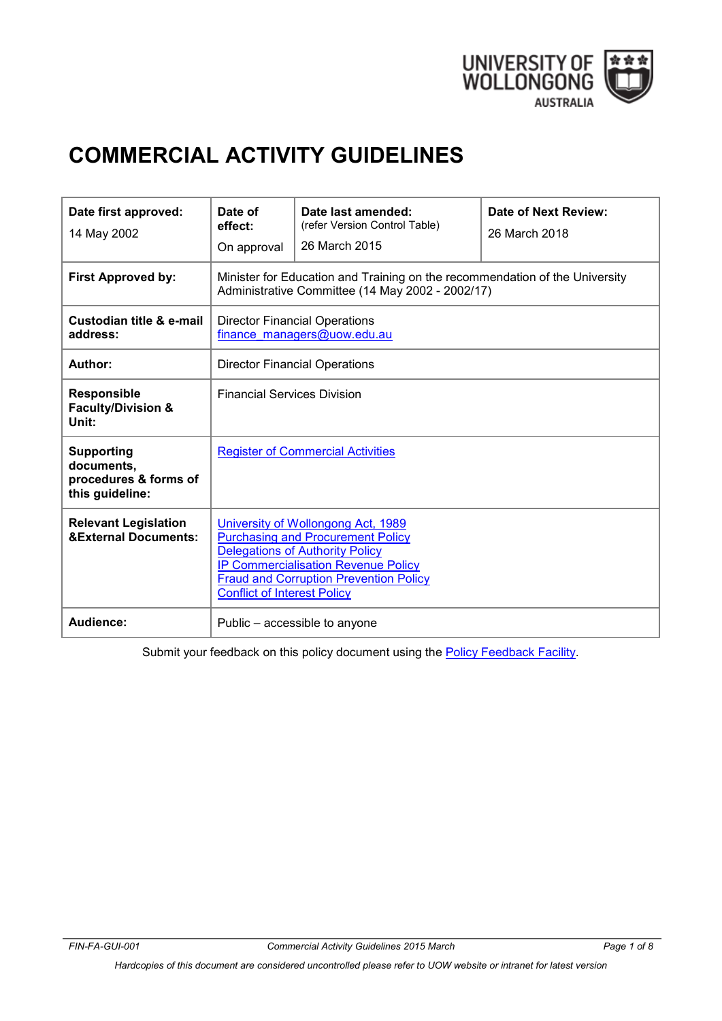

# **COMMERCIAL ACTIVITY GUIDELINES**

| Date first approved:<br>14 May 2002                                         | Date of<br>effect:<br>On approval                                                                                                                                                                                                                             | Date last amended:<br>(refer Version Control Table)<br>26 March 2015 | Date of Next Review:<br>26 March 2018 |  |  |
|-----------------------------------------------------------------------------|---------------------------------------------------------------------------------------------------------------------------------------------------------------------------------------------------------------------------------------------------------------|----------------------------------------------------------------------|---------------------------------------|--|--|
| <b>First Approved by:</b>                                                   | Minister for Education and Training on the recommendation of the University<br>Administrative Committee (14 May 2002 - 2002/17)                                                                                                                               |                                                                      |                                       |  |  |
| Custodian title & e-mail<br>address:                                        | <b>Director Financial Operations</b><br>finance managers@uow.edu.au                                                                                                                                                                                           |                                                                      |                                       |  |  |
| Author:                                                                     | <b>Director Financial Operations</b>                                                                                                                                                                                                                          |                                                                      |                                       |  |  |
| <b>Responsible</b><br><b>Faculty/Division &amp;</b><br>Unit:                | <b>Financial Services Division</b>                                                                                                                                                                                                                            |                                                                      |                                       |  |  |
| <b>Supporting</b><br>documents,<br>procedures & forms of<br>this guideline: | <b>Register of Commercial Activities</b>                                                                                                                                                                                                                      |                                                                      |                                       |  |  |
| <b>Relevant Legislation</b><br><b>&amp;External Documents:</b>              | University of Wollongong Act, 1989<br><b>Purchasing and Procurement Policy</b><br><b>Delegations of Authority Policy</b><br><b>IP Commercialisation Revenue Policy</b><br><b>Fraud and Corruption Prevention Policy</b><br><b>Conflict of Interest Policy</b> |                                                                      |                                       |  |  |
| Audience:                                                                   | Public - accessible to anyone                                                                                                                                                                                                                                 |                                                                      |                                       |  |  |

Submit your feedback on this policy document using the [Policy Feedback Facility.](http://www.uow.edu.au/about/policy/feedback/index.html)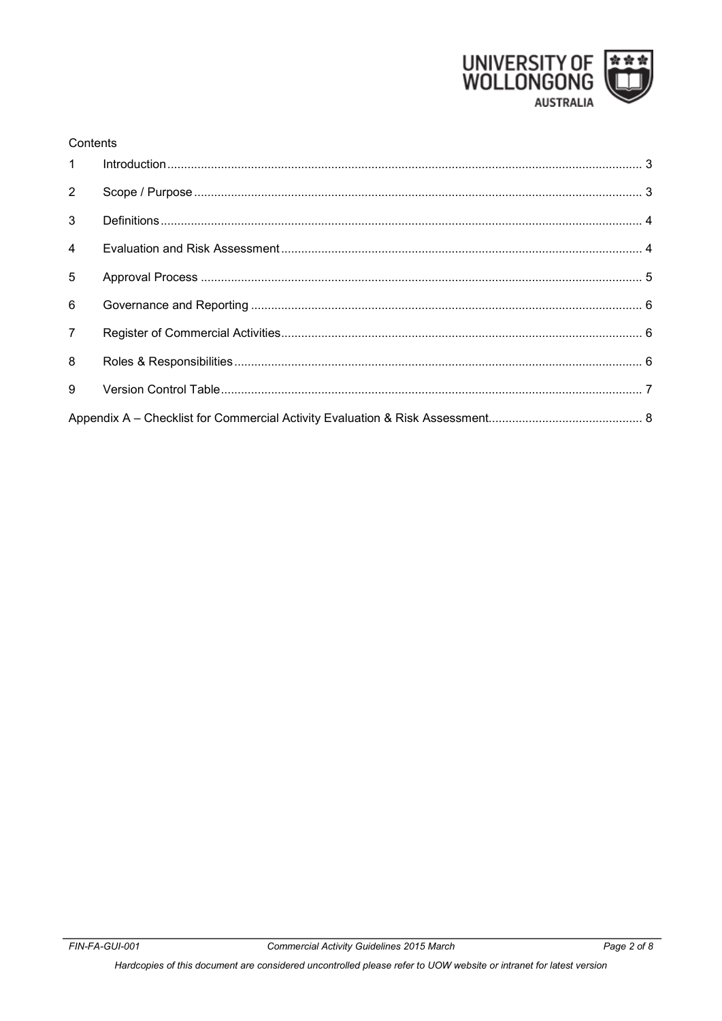

#### Contents

| $1 \quad$      |  |  |  |  |
|----------------|--|--|--|--|
| $2^{\circ}$    |  |  |  |  |
| $\mathbf{3}$   |  |  |  |  |
| $\overline{4}$ |  |  |  |  |
| 5              |  |  |  |  |
| 6              |  |  |  |  |
| $\overline{7}$ |  |  |  |  |
| 8              |  |  |  |  |
| 9              |  |  |  |  |
|                |  |  |  |  |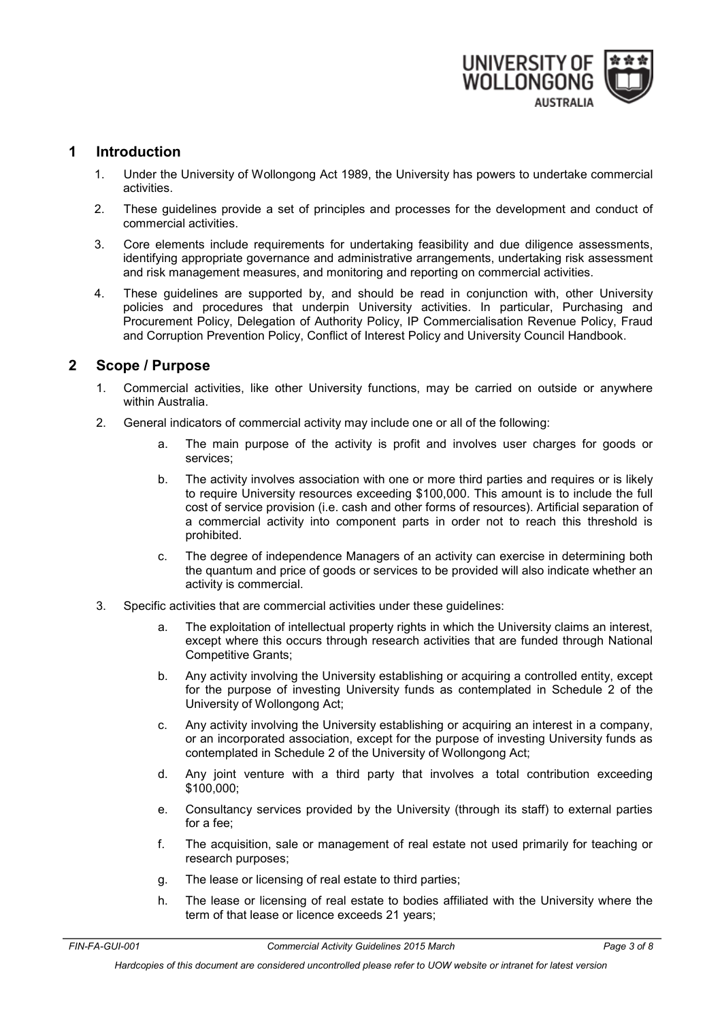

## <span id="page-2-0"></span>**1 Introduction**

- 1. Under the University of Wollongong Act 1989, the University has powers to undertake commercial activities.
- 2. These guidelines provide a set of principles and processes for the development and conduct of commercial activities.
- 3. Core elements include requirements for undertaking feasibility and due diligence assessments, identifying appropriate governance and administrative arrangements, undertaking risk assessment and risk management measures, and monitoring and reporting on commercial activities.
- 4. These guidelines are supported by, and should be read in conjunction with, other University policies and procedures that underpin University activities. In particular, Purchasing and Procurement Policy, Delegation of Authority Policy, IP Commercialisation Revenue Policy, Fraud and Corruption Prevention Policy, Conflict of Interest Policy and University Council Handbook.

## <span id="page-2-1"></span>**2 Scope / Purpose**

- 1. Commercial activities, like other University functions, may be carried on outside or anywhere within Australia.
- 2. General indicators of commercial activity may include one or all of the following:
	- a. The main purpose of the activity is profit and involves user charges for goods or services;
	- b. The activity involves association with one or more third parties and requires or is likely to require University resources exceeding \$100,000. This amount is to include the full cost of service provision (i.e. cash and other forms of resources). Artificial separation of a commercial activity into component parts in order not to reach this threshold is prohibited.
	- c. The degree of independence Managers of an activity can exercise in determining both the quantum and price of goods or services to be provided will also indicate whether an activity is commercial.
- 3. Specific activities that are commercial activities under these guidelines:
	- a. The exploitation of intellectual property rights in which the University claims an interest, except where this occurs through research activities that are funded through National Competitive Grants;
	- b. Any activity involving the University establishing or acquiring a controlled entity, except for the purpose of investing University funds as contemplated in Schedule 2 of the University of Wollongong Act;
	- c. Any activity involving the University establishing or acquiring an interest in a company, or an incorporated association, except for the purpose of investing University funds as contemplated in Schedule 2 of the University of Wollongong Act;
	- d. Any joint venture with a third party that involves a total contribution exceeding \$100,000;
	- e. Consultancy services provided by the University (through its staff) to external parties for a fee;
	- f. The acquisition, sale or management of real estate not used primarily for teaching or research purposes;
	- g. The lease or licensing of real estate to third parties;
	- h. The lease or licensing of real estate to bodies affiliated with the University where the term of that lease or licence exceeds 21 years;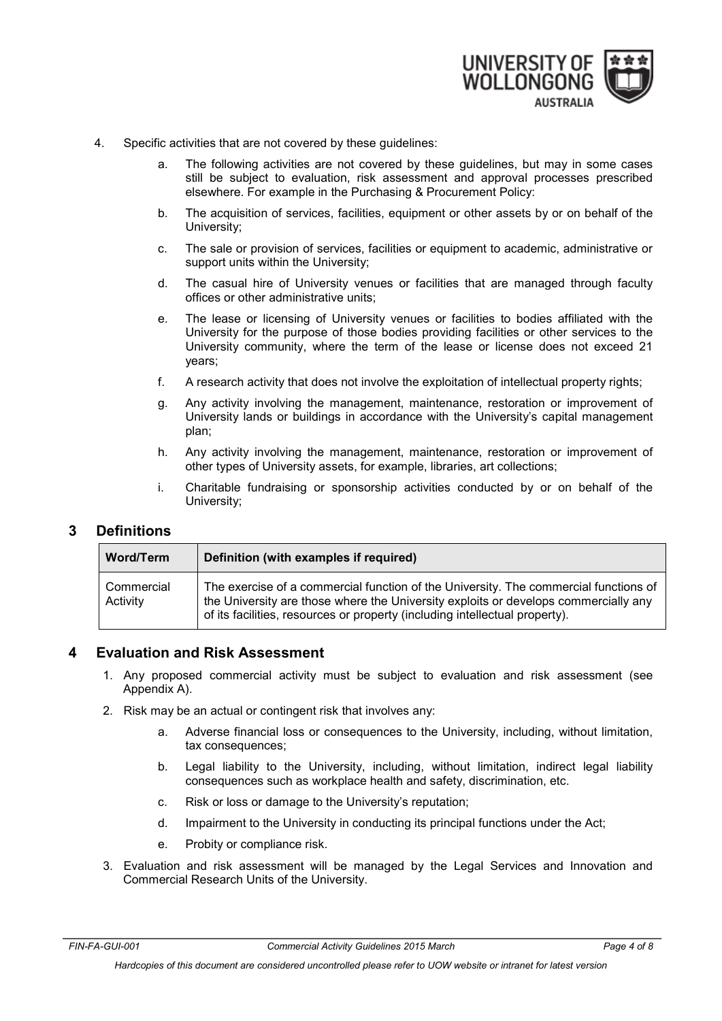

- 4. Specific activities that are not covered by these guidelines:
	- a. The following activities are not covered by these guidelines, but may in some cases still be subject to evaluation, risk assessment and approval processes prescribed elsewhere. For example in the Purchasing & Procurement Policy:
	- b. The acquisition of services, facilities, equipment or other assets by or on behalf of the University;
	- c. The sale or provision of services, facilities or equipment to academic, administrative or support units within the University;
	- d. The casual hire of University venues or facilities that are managed through faculty offices or other administrative units;
	- e. The lease or licensing of University venues or facilities to bodies affiliated with the University for the purpose of those bodies providing facilities or other services to the University community, where the term of the lease or license does not exceed 21 years;
	- f. A research activity that does not involve the exploitation of intellectual property rights;
	- g. Any activity involving the management, maintenance, restoration or improvement of University lands or buildings in accordance with the University's capital management plan;
	- h. Any activity involving the management, maintenance, restoration or improvement of other types of University assets, for example, libraries, art collections;
	- i. Charitable fundraising or sponsorship activities conducted by or on behalf of the University;

## <span id="page-3-0"></span>**3 Definitions**

| Word/Term              | Definition (with examples if required)                                                                                                                                                                                                                     |  |  |
|------------------------|------------------------------------------------------------------------------------------------------------------------------------------------------------------------------------------------------------------------------------------------------------|--|--|
| Commercial<br>Activity | The exercise of a commercial function of the University. The commercial functions of<br>the University are those where the University exploits or develops commercially any<br>of its facilities, resources or property (including intellectual property). |  |  |

## <span id="page-3-1"></span>**4 Evaluation and Risk Assessment**

- 1. Any proposed commercial activity must be subject to evaluation and risk assessment (see Appendix A).
- 2. Risk may be an actual or contingent risk that involves any:
	- a. Adverse financial loss or consequences to the University, including, without limitation, tax consequences;
	- b. Legal liability to the University, including, without limitation, indirect legal liability consequences such as workplace health and safety, discrimination, etc.
	- c. Risk or loss or damage to the University's reputation;
	- d. Impairment to the University in conducting its principal functions under the Act;
	- e. Probity or compliance risk.
- 3. Evaluation and risk assessment will be managed by the Legal Services and Innovation and Commercial Research Units of the University.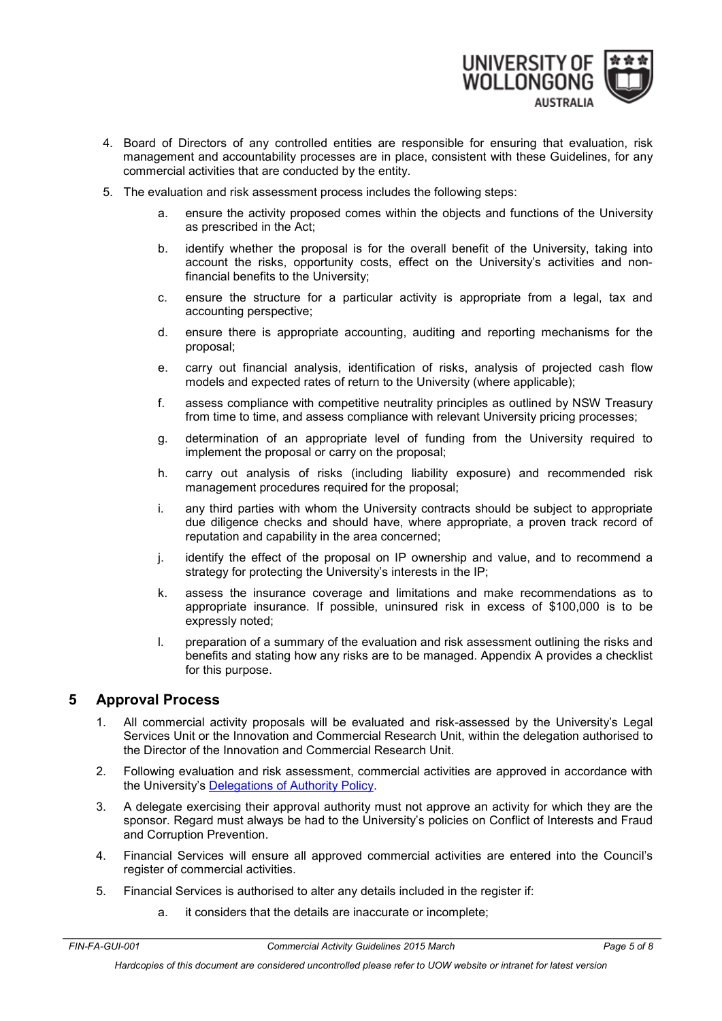

- 4. Board of Directors of any controlled entities are responsible for ensuring that evaluation, risk management and accountability processes are in place, consistent with these Guidelines, for any commercial activities that are conducted by the entity.
- 5. The evaluation and risk assessment process includes the following steps:
	- a. ensure the activity proposed comes within the objects and functions of the University as prescribed in the Act;
	- b. identify whether the proposal is for the overall benefit of the University, taking into account the risks, opportunity costs, effect on the University's activities and nonfinancial benefits to the University;
	- c. ensure the structure for a particular activity is appropriate from a legal, tax and accounting perspective;
	- d. ensure there is appropriate accounting, auditing and reporting mechanisms for the proposal;
	- e. carry out financial analysis, identification of risks, analysis of projected cash flow models and expected rates of return to the University (where applicable);
	- f. assess compliance with competitive neutrality principles as outlined by NSW Treasury from time to time, and assess compliance with relevant University pricing processes;
	- g. determination of an appropriate level of funding from the University required to implement the proposal or carry on the proposal;
	- h. carry out analysis of risks (including liability exposure) and recommended risk management procedures required for the proposal;
	- i. any third parties with whom the University contracts should be subject to appropriate due diligence checks and should have, where appropriate, a proven track record of reputation and capability in the area concerned;
	- j. identify the effect of the proposal on IP ownership and value, and to recommend a strategy for protecting the University's interests in the IP;
	- k. assess the insurance coverage and limitations and make recommendations as to appropriate insurance. If possible, uninsured risk in excess of \$100,000 is to be expressly noted;
	- l. preparation of a summary of the evaluation and risk assessment outlining the risks and benefits and stating how any risks are to be managed. Appendix A provides a checklist for this purpose.

## <span id="page-4-0"></span>**5 Approval Process**

- 1. All commercial activity proposals will be evaluated and risk-assessed by the University's Legal Services Unit or the Innovation and Commercial Research Unit, within the delegation authorised to the Director of the Innovation and Commercial Research Unit.
- 2. Following evaluation and risk assessment, commercial activities are approved in accordance with the University's [Delegations of Authority Policy.](http://www.uow.edu.au/about/policy/UOW058669.html)
- 3. A delegate exercising their approval authority must not approve an activity for which they are the sponsor. Regard must always be had to the University's policies on Conflict of Interests and Fraud and Corruption Prevention.
- 4. Financial Services will ensure all approved commercial activities are entered into the Council's register of commercial activities.
- 5. Financial Services is authorised to alter any details included in the register if:
	- a. it considers that the details are inaccurate or incomplete;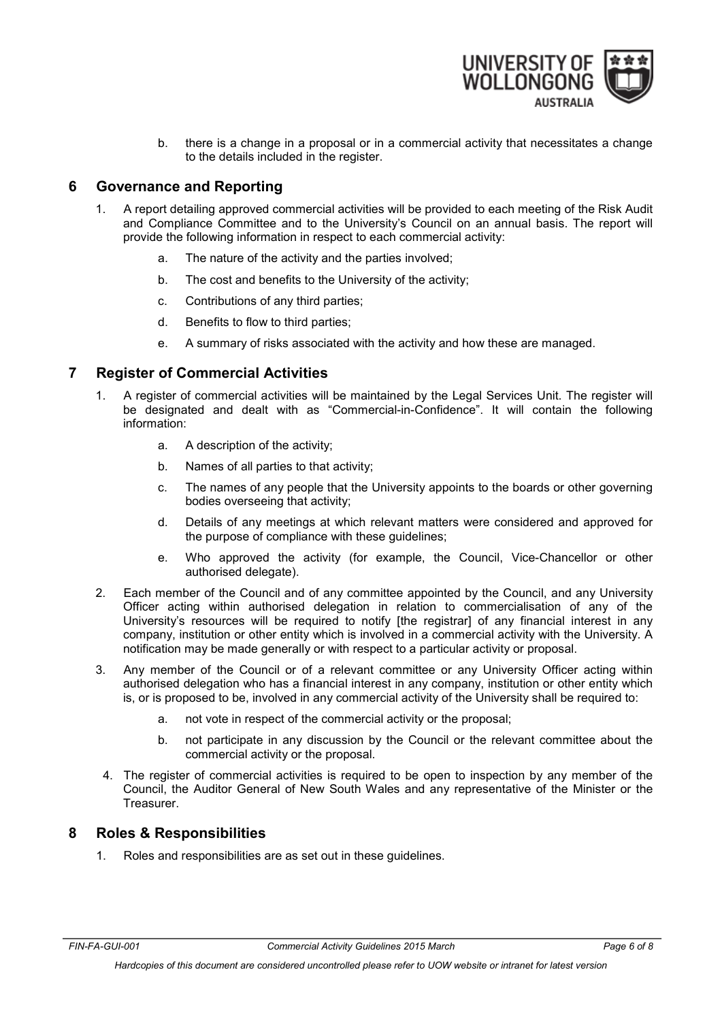

b. there is a change in a proposal or in a commercial activity that necessitates a change to the details included in the register.

## <span id="page-5-1"></span>**6 Governance and Reporting**

- 1. A report detailing approved commercial activities will be provided to each meeting of the Risk Audit and Compliance Committee and to the University's Council on an annual basis. The report will provide the following information in respect to each commercial activity:
	- a. The nature of the activity and the parties involved;
	- b. The cost and benefits to the University of the activity;
	- c. Contributions of any third parties;
	- d. Benefits to flow to third parties;
	- e. A summary of risks associated with the activity and how these are managed.

## <span id="page-5-0"></span>**7 Register of Commercial Activities**

- 1. A register of commercial activities will be maintained by the Legal Services Unit. The register will be designated and dealt with as "Commercial-in-Confidence". It will contain the following information:
	- a. A description of the activity;
	- b. Names of all parties to that activity;
	- c. The names of any people that the University appoints to the boards or other governing bodies overseeing that activity;
	- d. Details of any meetings at which relevant matters were considered and approved for the purpose of compliance with these guidelines;
	- e. Who approved the activity (for example, the Council, Vice-Chancellor or other authorised delegate).
- 2. Each member of the Council and of any committee appointed by the Council, and any University Officer acting within authorised delegation in relation to commercialisation of any of the University's resources will be required to notify [the registrar] of any financial interest in any company, institution or other entity which is involved in a commercial activity with the University. A notification may be made generally or with respect to a particular activity or proposal.
- 3. Any member of the Council or of a relevant committee or any University Officer acting within authorised delegation who has a financial interest in any company, institution or other entity which is, or is proposed to be, involved in any commercial activity of the University shall be required to:
	- a. not vote in respect of the commercial activity or the proposal;
	- b. not participate in any discussion by the Council or the relevant committee about the commercial activity or the proposal.
	- 4. The register of commercial activities is required to be open to inspection by any member of the Council, the Auditor General of New South Wales and any representative of the Minister or the Treasurer.

## <span id="page-5-2"></span>**8 Roles & Responsibilities**

1. Roles and responsibilities are as set out in these guidelines.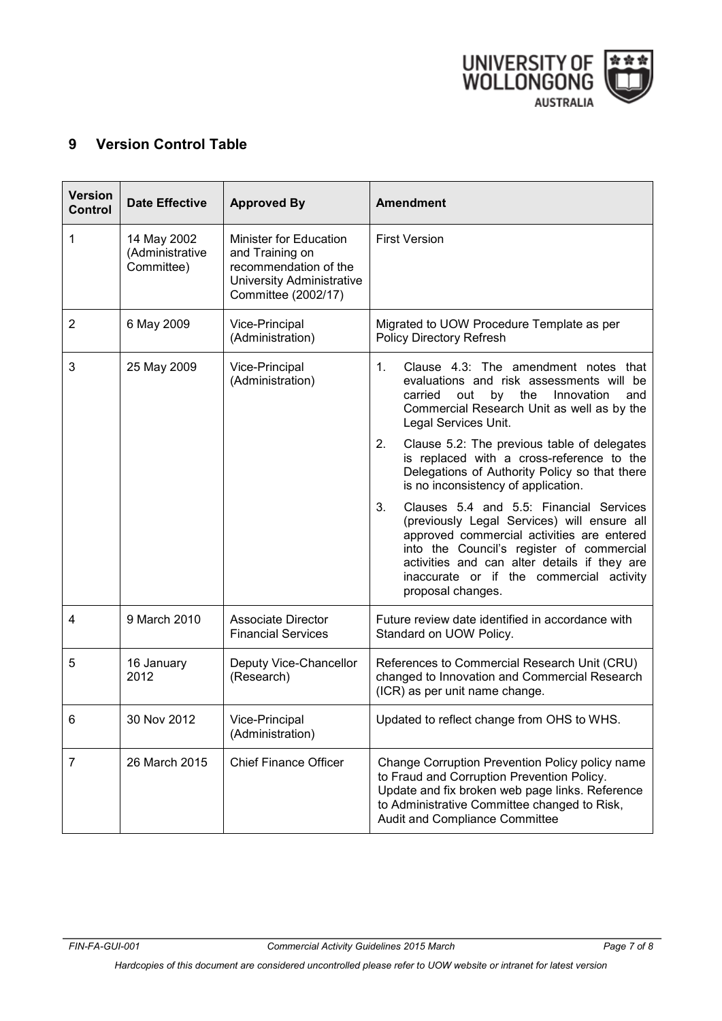

# <span id="page-6-0"></span>**9 Version Control Table**

<span id="page-6-1"></span>

| <b>Version</b><br><b>Control</b> | <b>Date Effective</b>                        | <b>Approved By</b>                                                                                                            | <b>Amendment</b>                                                                                                                                                                                                                                                                                         |
|----------------------------------|----------------------------------------------|-------------------------------------------------------------------------------------------------------------------------------|----------------------------------------------------------------------------------------------------------------------------------------------------------------------------------------------------------------------------------------------------------------------------------------------------------|
| 1                                | 14 May 2002<br>(Administrative<br>Committee) | Minister for Education<br>and Training on<br>recommendation of the<br><b>University Administrative</b><br>Committee (2002/17) | <b>First Version</b>                                                                                                                                                                                                                                                                                     |
| 2                                | 6 May 2009                                   | Vice-Principal<br>(Administration)                                                                                            | Migrated to UOW Procedure Template as per<br>Policy Directory Refresh                                                                                                                                                                                                                                    |
| 3                                | 25 May 2009                                  | Vice-Principal<br>(Administration)                                                                                            | Clause 4.3: The amendment notes that<br>1.<br>evaluations and risk assessments will be<br>carried<br>out<br>by<br>the<br>Innovation<br>and<br>Commercial Research Unit as well as by the<br>Legal Services Unit.                                                                                         |
|                                  |                                              |                                                                                                                               | 2.<br>Clause 5.2: The previous table of delegates<br>is replaced with a cross-reference to the<br>Delegations of Authority Policy so that there<br>is no inconsistency of application.                                                                                                                   |
|                                  |                                              |                                                                                                                               | 3.<br>Clauses 5.4 and 5.5: Financial Services<br>(previously Legal Services) will ensure all<br>approved commercial activities are entered<br>into the Council's register of commercial<br>activities and can alter details if they are<br>inaccurate or if the commercial activity<br>proposal changes. |
| 4                                | 9 March 2010                                 | <b>Associate Director</b><br><b>Financial Services</b>                                                                        | Future review date identified in accordance with<br>Standard on UOW Policy.                                                                                                                                                                                                                              |
| 5                                | 16 January<br>2012                           | Deputy Vice-Chancellor<br>(Research)                                                                                          | References to Commercial Research Unit (CRU)<br>changed to Innovation and Commercial Research<br>(ICR) as per unit name change.                                                                                                                                                                          |
| 6                                | 30 Nov 2012                                  | Vice-Principal<br>(Administration)                                                                                            | Updated to reflect change from OHS to WHS.                                                                                                                                                                                                                                                               |
| 7                                | 26 March 2015                                | <b>Chief Finance Officer</b>                                                                                                  | Change Corruption Prevention Policy policy name<br>to Fraud and Corruption Prevention Policy.<br>Update and fix broken web page links. Reference<br>to Administrative Committee changed to Risk,<br>Audit and Compliance Committee                                                                       |